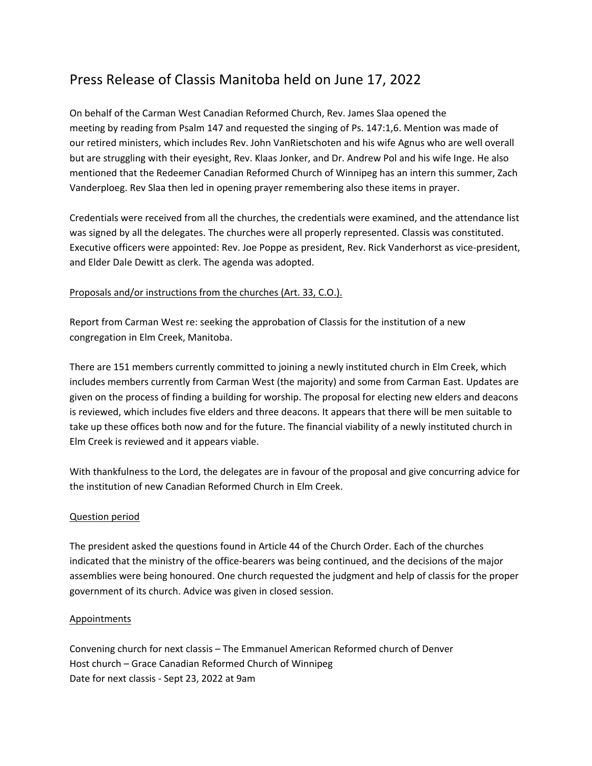## Press Release of Classis Manitoba held on June 17, 2022

On behalf of the Carman West Canadian Reformed Church, Rev. James Slaa opened the meeting by reading from Psalm 147 and requested the singing of Ps. 147:1,6. Mention was made of our retired ministers, which includes Rev. John VanRietschoten and his wife Agnus who are well overall but are struggling with their eyesight, Rev. Klaas Jonker, and Dr. Andrew Pol and his wife Inge. He also mentioned that the Redeemer Canadian Reformed Church of Winnipeg has an intern this summer, Zach Vanderploeg. Rev Slaa then led in opening prayer remembering also these items in prayer.

Credentials were received from all the churches, the credentials were examined, and the attendance list was signed by all the delegates. The churches were all properly represented. Classis was constituted. Executive officers were appointed: Rev. Joe Poppe as president, Rev. Rick Vanderhorst as vice-president, and Elder Dale Dewitt as clerk. The agenda was adopted.

## Proposals and/or instructions from the churches (Art. 33, C.O.).

Report from Carman West re: seeking the approbation of Classis for the institution of a new congregation in Elm Creek, Manitoba.

There are 151 members currently committed to joining a newly instituted church in Elm Creek, which includes members currently from Carman West (the majority) and some from Carman East. Updates are given on the process of finding a building for worship. The proposal for electing new elders and deacons is reviewed, which includes five elders and three deacons. It appears that there will be men suitable to take up these offices both now and for the future. The financial viability of a newly instituted church in Elm Creek is reviewed and it appears viable.

With thankfulness to the Lord, the delegates are in favour of the proposal and give concurring advice for the institution of new Canadian Reformed Church in Elm Creek.

## Question period

The president asked the questions found in Article 44 of the Church Order. Each of the churches indicated that the ministry of the office-bearers was being continued, and the decisions of the major assemblies were being honoured. One church requested the judgment and help of classis for the proper government of its church. Advice was given in closed session.

## Appointments

Convening church for next classis – The Emmanuel American Reformed church of Denver Host church – Grace Canadian Reformed Church of Winnipeg Date for next classis - Sept 23, 2022 at 9am